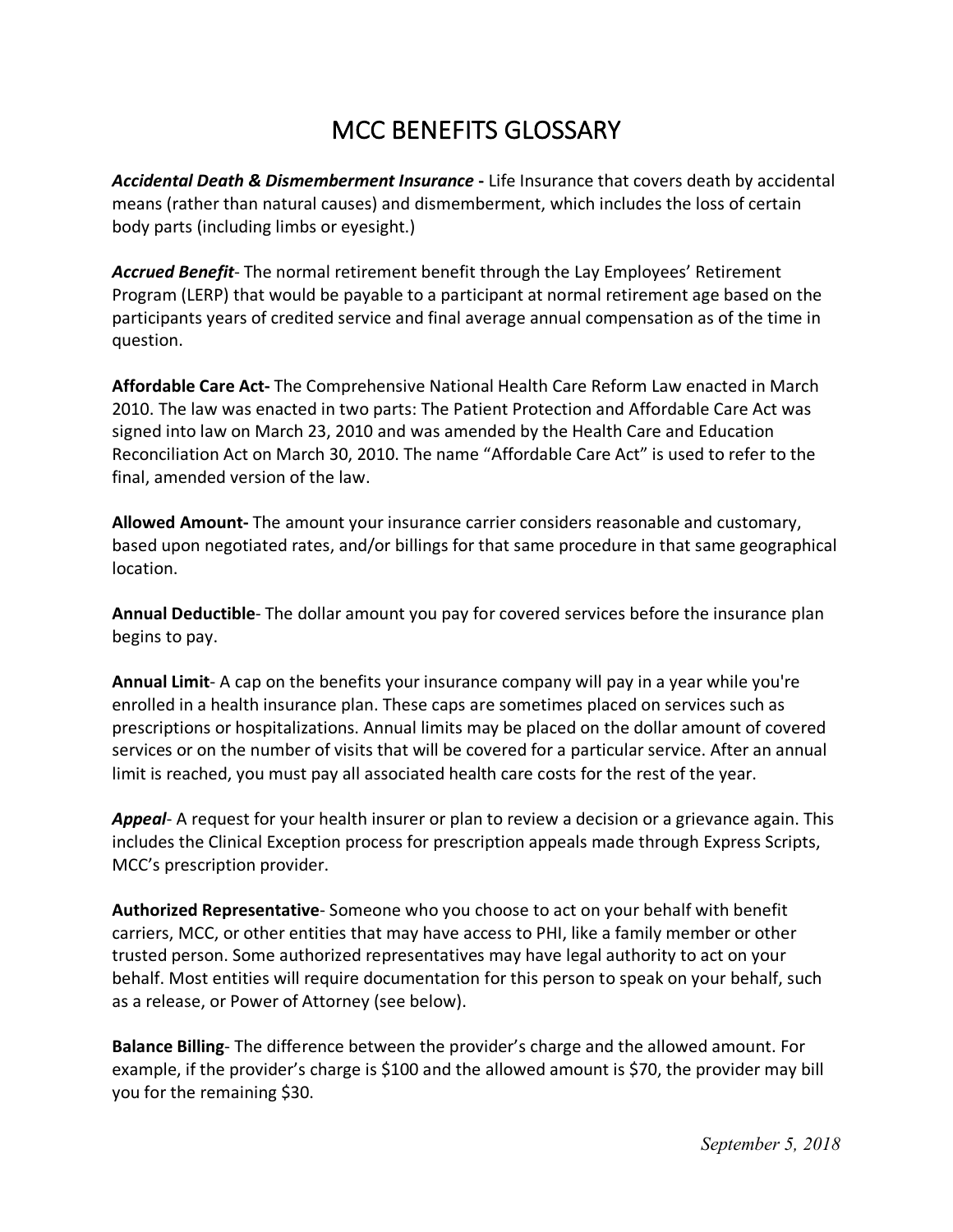## MCC BENEFITS GLOSSARY

*Accidental Death & Dismemberment Insurance* **-** Life Insurance that covers death by accidental means (rather than natural causes) and dismemberment, which includes the loss of certain body parts (including limbs or eyesight.)

*Accrued Benefit*- The normal retirement benefit through the Lay Employees' Retirement Program (LERP) that would be payable to a participant at normal retirement age based on the participants years of credited service and final average annual compensation as of the time in question.

**Affordable Care Act-** The Comprehensive National Health Care Reform Law enacted in March 2010. The law was enacted in two parts: The Patient Protection and Affordable Care Act was signed into law on March 23, 2010 and was amended by the Health Care and Education Reconciliation Act on March 30, 2010. The name "Affordable Care Act" is used to refer to the final, amended version of the law.

**Allowed Amount-** The amount your insurance carrier considers reasonable and customary, based upon negotiated rates, and/or billings for that same procedure in that same geographical location.

**Annual Deductible**- The dollar amount you pay for covered services before the insurance plan begins to pay.

**Annual Limit**- A cap on the benefits your insurance company will pay in a year while you're enrolled in a health insurance plan. These caps are sometimes placed on services such as prescriptions or hospitalizations. Annual limits may be placed on the dollar amount of covered services or on the number of visits that will be covered for a particular service. After an annual limit is reached, you must pay all associated health care costs for the rest of the year.

*Appeal*- A request for your health insurer or plan to review a decision or a grievance again. This includes the Clinical Exception process for prescription appeals made through Express Scripts, MCC's prescription provider.

**Authorized Representative**- Someone who you choose to act on your behalf with benefit carriers, MCC, or other entities that may have access to PHI, like a family member or other trusted person. Some authorized representatives may have legal authority to act on your behalf. Most entities will require documentation for this person to speak on your behalf, such as a release, or Power of Attorney (see below).

**Balance Billing**- The difference between the provider's charge and the allowed amount. For example, if the provider's charge is \$100 and the allowed amount is \$70, the provider may bill you for the remaining \$30.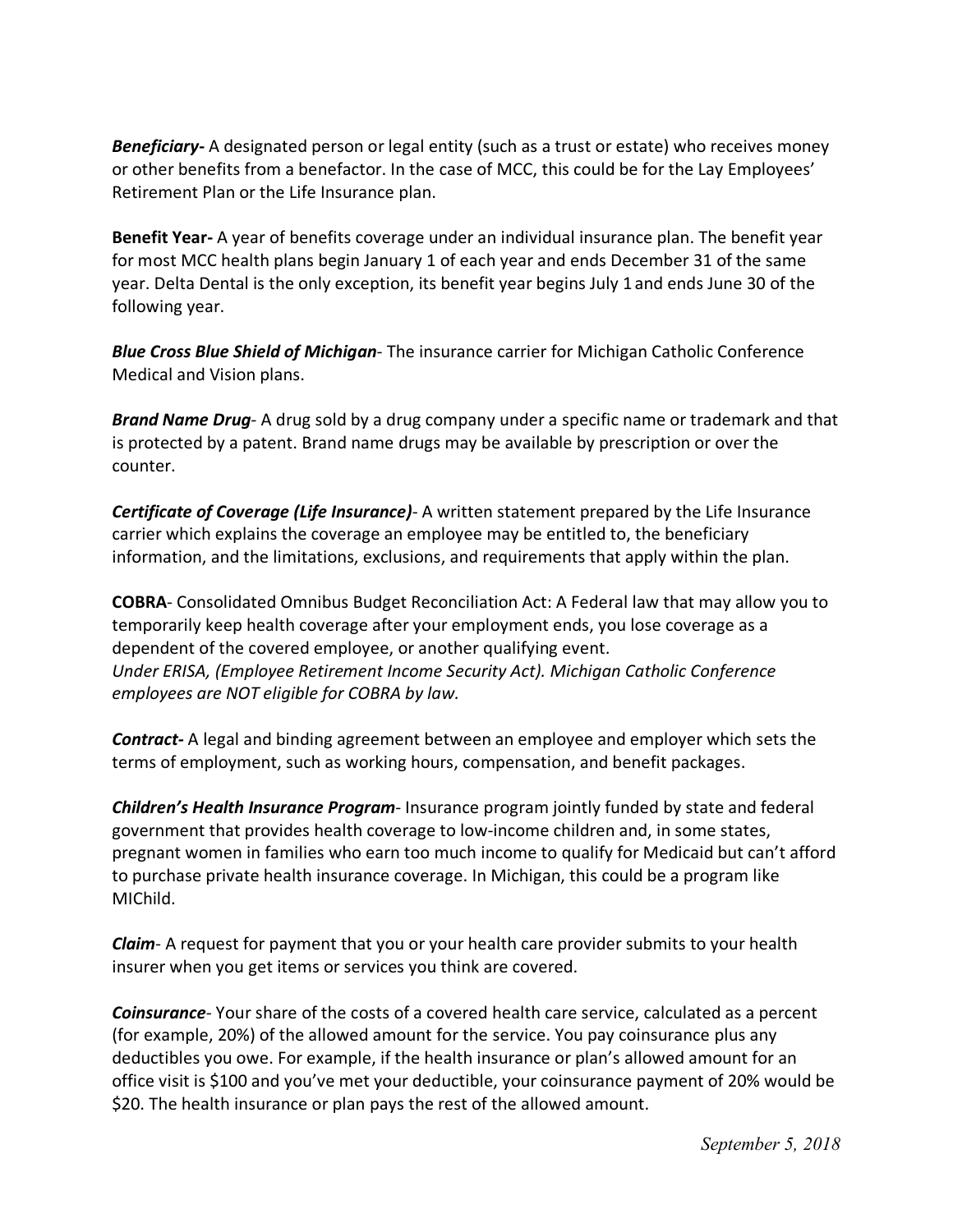*Beneficiary***-** A designated person or legal entity (such as a trust or estate) who receives money or other benefits from a benefactor. In the case of MCC, this could be for the Lay Employees' Retirement Plan or the Life Insurance plan.

**Benefit Year-** A year of benefits coverage under an individual insurance plan. The benefit year for most MCC health plans begin January 1 of each year and ends December 31 of the same year. Delta Dental is the only exception, its benefit year begins July 1 and ends June 30 of the following year.

*Blue Cross Blue Shield of Michigan*- The insurance carrier for Michigan Catholic Conference Medical and Vision plans.

*Brand Name Drug-* A drug sold by a drug company under a specific name or trademark and that is protected by a patent. Brand name drugs may be available by prescription or over the counter.

*Certificate of Coverage (Life Insurance)*- A written statement prepared by the Life Insurance carrier which explains the coverage an employee may be entitled to, the beneficiary information, and the limitations, exclusions, and requirements that apply within the plan.

**COBRA**- Consolidated Omnibus Budget Reconciliation Act: A Federal law that may allow you to temporarily keep health coverage after your employment ends, you lose coverage as a dependent of the covered employee, or another qualifying event. *Under ERISA, (Employee Retirement Income Security Act). Michigan Catholic Conference employees are NOT eligible for COBRA by law.*

*Contract-* A legal and binding agreement between an employee and employer which sets the terms of employment, such as working hours, compensation, and benefit packages.

*Children's Health Insurance Program*- Insurance program jointly funded by state and federal government that provides health coverage to low-income children and, in some states, pregnant women in families who earn too much income to qualify for Medicaid but can't afford to purchase private health insurance coverage. In Michigan, this could be a program like MIChild.

*Claim*- A request for payment that you or your health care provider submits to your health insurer when you get items or services you think are covered.

*Coinsurance*- Your share of the costs of a covered health care service, calculated as a percent (for example, 20%) of the allowed amount for the service. You pay coinsurance plus any deductibles you owe. For example, if the health insurance or plan's allowed amount for an office visit is \$100 and you've met your deductible, your coinsurance payment of 20% would be \$20. The health insurance or plan pays the rest of the allowed amount.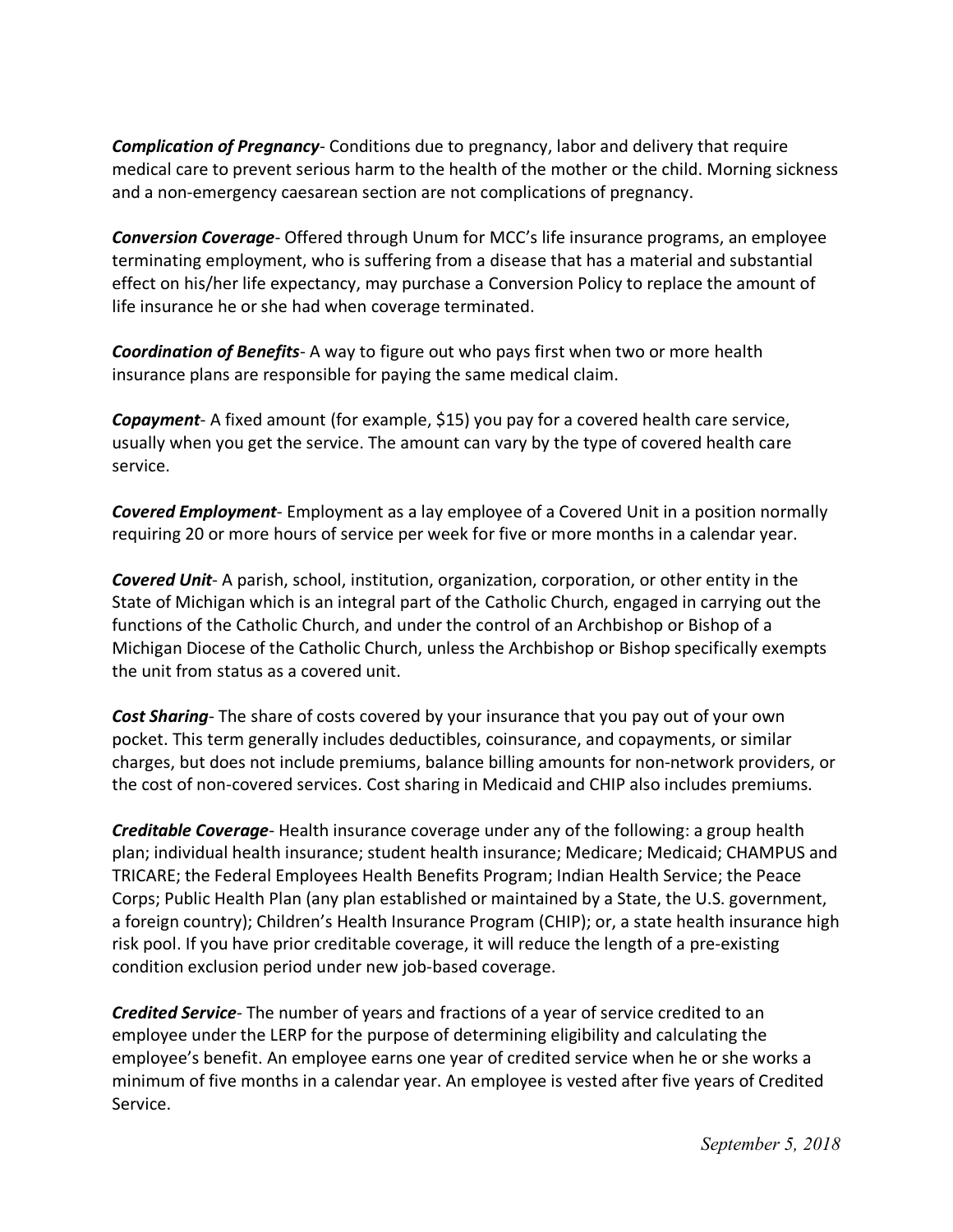*Complication of Pregnancy*- Conditions due to pregnancy, labor and delivery that require medical care to prevent serious harm to the health of the mother or the child. Morning sickness and a non-emergency caesarean section are not complications of pregnancy.

*Conversion Coverage*- Offered through Unum for MCC's life insurance programs, an employee terminating employment, who is suffering from a disease that has a material and substantial effect on his/her life expectancy, may purchase a Conversion Policy to replace the amount of life insurance he or she had when coverage terminated.

*Coordination of Benefits*- A way to figure out who pays first when two or more health insurance plans are responsible for paying the same medical claim.

*Copayment*- A fixed amount (for example, \$15) you pay for a covered health care service, usually when you get the service. The amount can vary by the type of covered health care service.

*Covered Employment*- Employment as a lay employee of a Covered Unit in a position normally requiring 20 or more hours of service per week for five or more months in a calendar year.

*Covered Unit*- A parish, school, institution, organization, corporation, or other entity in the State of Michigan which is an integral part of the Catholic Church, engaged in carrying out the functions of the Catholic Church, and under the control of an Archbishop or Bishop of a Michigan Diocese of the Catholic Church, unless the Archbishop or Bishop specifically exempts the unit from status as a covered unit.

*Cost Sharing*- The share of costs covered by your insurance that you pay out of your own pocket. This term generally includes deductibles, coinsurance, and copayments, or similar charges, but does not include premiums, balance billing amounts for non-network providers, or the cost of non-covered services. Cost sharing in Medicaid and CHIP also includes premiums.

*Creditable Coverage*- Health insurance coverage under any of the following: a group health plan; individual health insurance; student health insurance; Medicare; Medicaid; CHAMPUS and TRICARE; the Federal Employees Health Benefits Program; Indian Health Service; the Peace Corps; Public Health Plan (any plan established or maintained by a State, the U.S. government, a foreign country); Children's Health Insurance Program (CHIP); or, a state health insurance high risk pool. If you have prior creditable coverage, it will reduce the length of a pre-existing condition exclusion period under new job-based coverage.

*Credited Service*- The number of years and fractions of a year of service credited to an employee under the LERP for the purpose of determining eligibility and calculating the employee's benefit. An employee earns one year of credited service when he or she works a minimum of five months in a calendar year. An employee is vested after five years of Credited Service.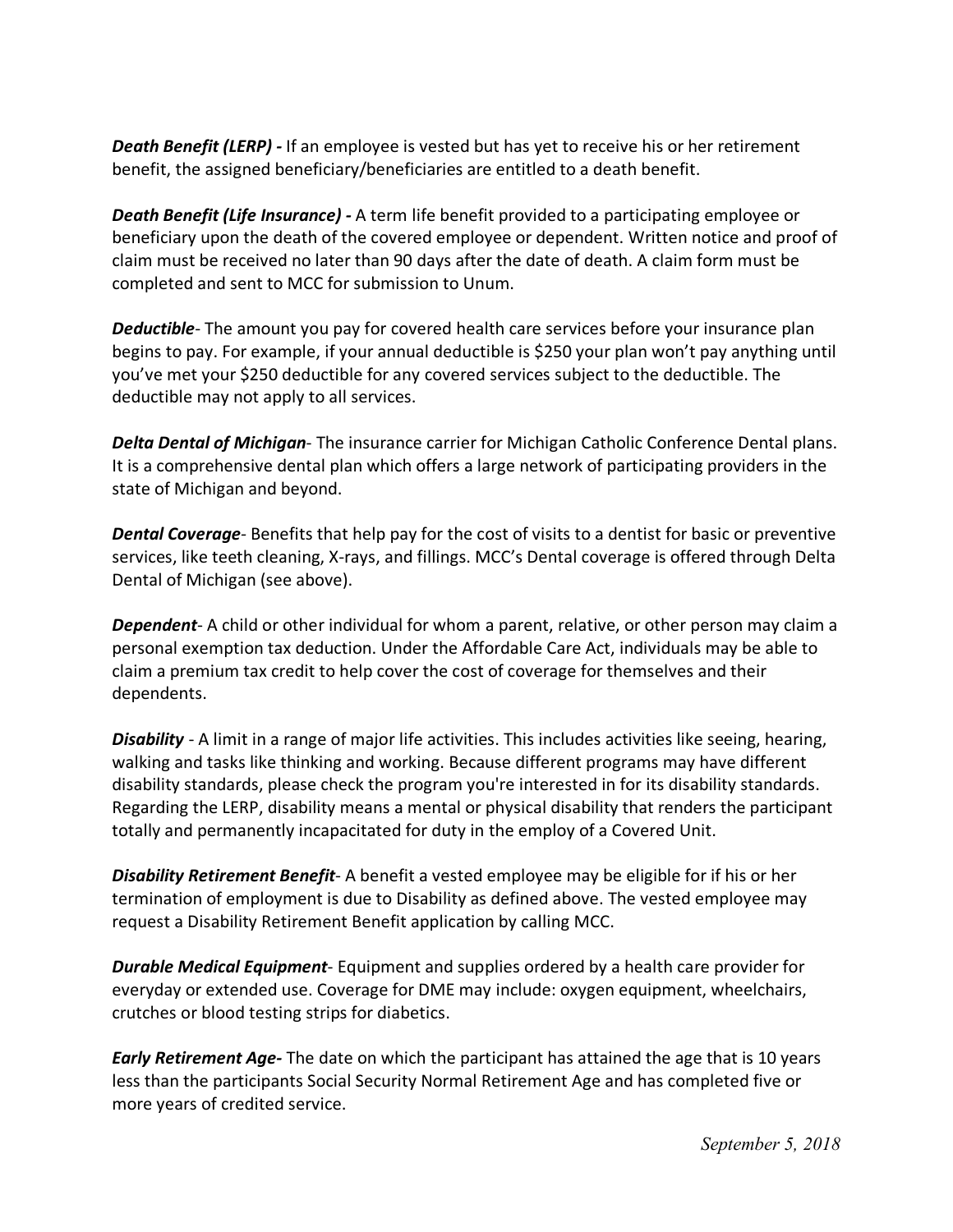**Death Benefit (LERP)** - If an employee is vested but has yet to receive his or her retirement benefit, the assigned beneficiary/beneficiaries are entitled to a death benefit.

*Death Benefit (Life Insurance) -* A term life benefit provided to a participating employee or beneficiary upon the death of the covered employee or dependent. Written notice and proof of claim must be received no later than 90 days after the date of death. A claim form must be completed and sent to MCC for submission to Unum.

*Deductible*- The amount you pay for covered health care services before your insurance plan begins to pay. For example, if your annual deductible is \$250 your plan won't pay anything until you've met your \$250 deductible for any covered services subject to the deductible. The deductible may not apply to all services.

*Delta Dental of Michigan*- The insurance carrier for Michigan Catholic Conference Dental plans. It is a comprehensive dental plan which offers a large network of participating providers in the state of Michigan and beyond.

*Dental Coverage-* Benefits that help pay for the cost of visits to a dentist for basic or preventive services, like teeth cleaning, X-rays, and fillings. MCC's Dental coverage is offered through Delta Dental of Michigan (see above).

*Dependent*- A child or other individual for whom a parent, relative, or other person may claim a personal exemption tax deduction. Under the Affordable Care Act, individuals may be able to claim a premium tax credit to help cover the cost of coverage for themselves and their dependents.

*Disability* - A limit in a range of major life activities. This includes activities like seeing, hearing, walking and tasks like thinking and working. Because different programs may have different disability standards, please check the program you're interested in for its disability standards. Regarding the LERP, disability means a mental or physical disability that renders the participant totally and permanently incapacitated for duty in the employ of a Covered Unit.

*Disability Retirement Benefit*- A benefit a vested employee may be eligible for if his or her termination of employment is due to Disability as defined above. The vested employee may request a Disability Retirement Benefit application by calling MCC.

*Durable Medical Equipment*- Equipment and supplies ordered by a health care provider for everyday or extended use. Coverage for DME may include: oxygen equipment, wheelchairs, crutches or blood testing strips for diabetics.

*Early Retirement Age-* The date on which the participant has attained the age that is 10 years less than the participants Social Security Normal Retirement Age and has completed five or more years of credited service.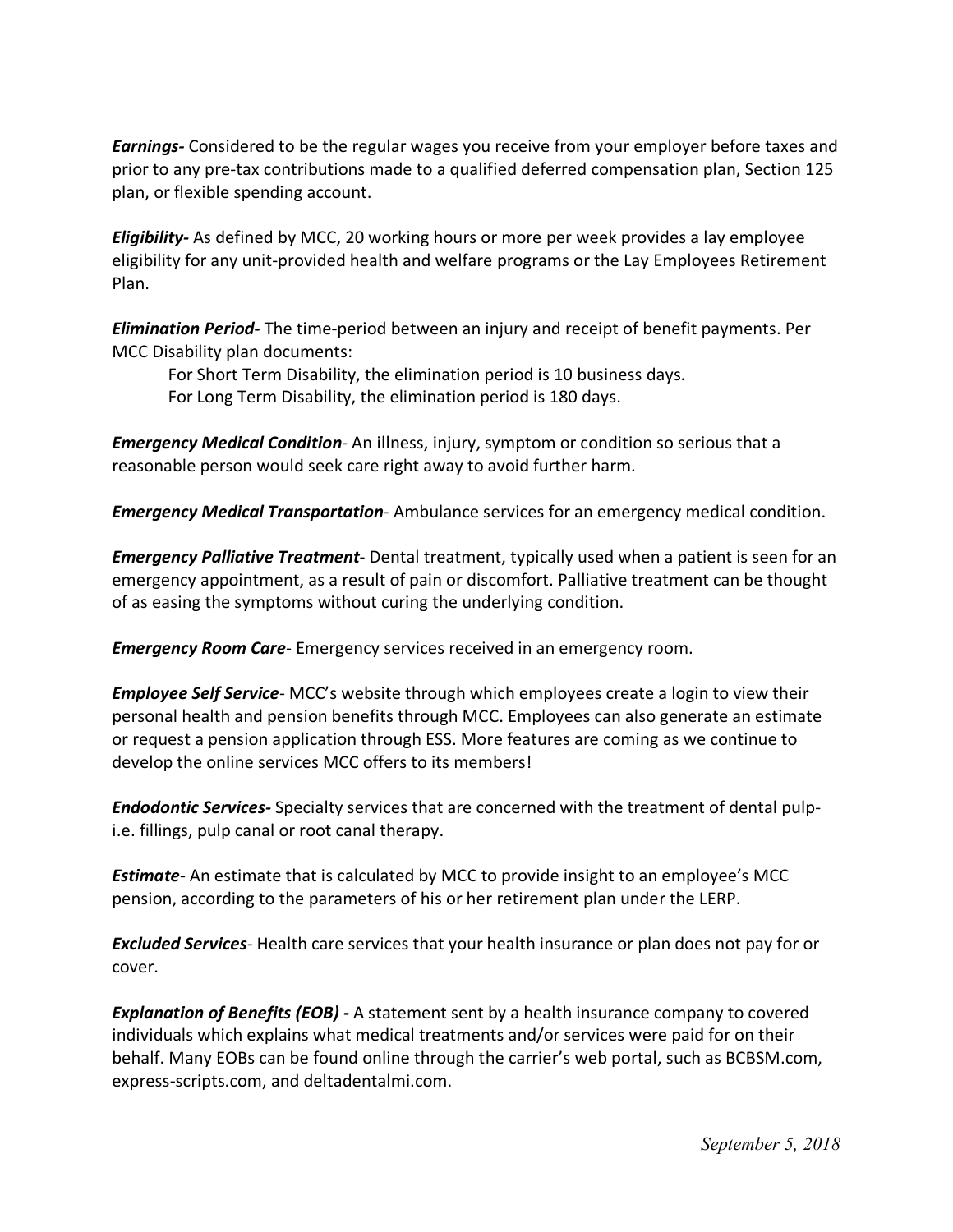*Earnings-* Considered to be the regular wages you receive from your employer before taxes and prior to any pre-tax contributions made to a qualified deferred compensation plan, Section 125 plan, or flexible spending account.

*Eligibility-* As defined by MCC, 20 working hours or more per week provides a lay employee eligibility for any unit-provided health and welfare programs or the Lay Employees Retirement Plan.

*Elimination Period-* The time-period between an injury and receipt of benefit payments. Per MCC Disability plan documents:

For Short Term Disability, the elimination period is 10 business days. For Long Term Disability, the elimination period is 180 days.

*Emergency Medical Condition*- An illness, injury, symptom or condition so serious that a reasonable person would seek care right away to avoid further harm.

*Emergency Medical Transportation*- Ambulance services for an emergency medical condition.

*Emergency Palliative Treatment*- Dental treatment, typically used when a patient is seen for an emergency appointment, as a result of pain or discomfort. Palliative treatment can be thought of as easing the symptoms without curing the underlying condition.

*Emergency Room Care*- Emergency services received in an emergency room.

*Employee Self Service*- MCC's website through which employees create a login to view their personal health and pension benefits through MCC. Employees can also generate an estimate or request a pension application through ESS. More features are coming as we continue to develop the online services MCC offers to its members!

*Endodontic Services-* Specialty services that are concerned with the treatment of dental pulpi.e. fillings, pulp canal or root canal therapy.

*Estimate*- An estimate that is calculated by MCC to provide insight to an employee's MCC pension, according to the parameters of his or her retirement plan under the LERP.

*Excluded Services*- Health care services that your health insurance or plan does not pay for or cover.

*Explanation of Benefits (EOB) -* A statement sent by a health insurance company to covered individuals which explains what medical treatments and/or services were paid for on their behalf. Many EOBs can be found online through the carrier's web portal, such as BCBSM.com, express-scripts.com, and deltadentalmi.com.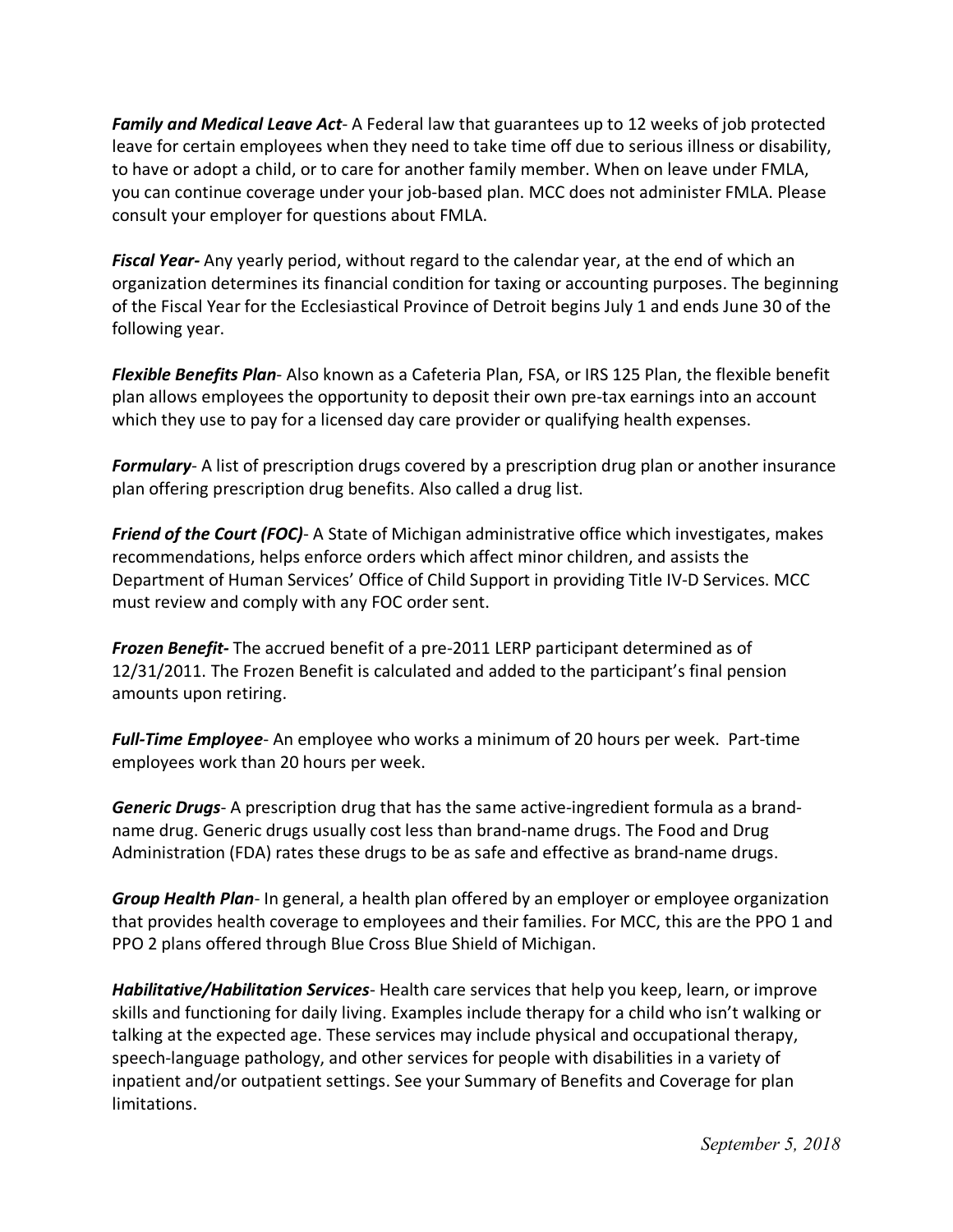*Family and Medical Leave Act-* A Federal law that guarantees up to 12 weeks of job protected leave for certain employees when they need to take time off due to serious illness or disability, to have or adopt a child, or to care for another family member. When on leave under FMLA, you can continue coverage under your job-based plan. MCC does not administer FMLA. Please consult your employer for questions about FMLA.

*Fiscal Year-* Any yearly period, without regard to the calendar year, at the end of which an organization determines its financial condition for taxing or accounting purposes. The beginning of the Fiscal Year for the Ecclesiastical Province of Detroit begins July 1 and ends June 30 of the following year.

*Flexible Benefits Plan*- Also known as a Cafeteria Plan, FSA, or IRS 125 Plan, the flexible benefit plan allows employees the opportunity to deposit their own pre-tax earnings into an account which they use to pay for a licensed day care provider or qualifying health expenses.

**Formulary**- A list of prescription drugs covered by a prescription drug plan or another insurance plan offering prescription drug benefits. Also called a drug list.

*Friend of the Court (FOC)*- A State of Michigan administrative office which investigates, makes recommendations, helps enforce orders which affect minor children, and assists the Department of Human Services' Office of Child Support in providing Title IV-D Services. MCC must review and comply with any FOC order sent.

*Frozen Benefit-* The accrued benefit of a pre-2011 LERP participant determined as of 12/31/2011. The Frozen Benefit is calculated and added to the participant's final pension amounts upon retiring.

*Full-Time Employee*- An employee who works a minimum of 20 hours per week. Part-time employees work than 20 hours per week.

*Generic Drugs*- A prescription drug that has the same active-ingredient formula as a brandname drug. Generic drugs usually cost less than brand-name drugs. The Food and Drug Administration (FDA) rates these drugs to be as safe and effective as brand-name drugs.

*Group Health Plan*- In general, a health plan offered by an employer or employee organization that provides health coverage to employees and their families. For MCC, this are the PPO 1 and PPO 2 plans offered through Blue Cross Blue Shield of Michigan.

*Habilitative/Habilitation Services*- Health care services that help you keep, learn, or improve skills and functioning for daily living. Examples include therapy for a child who isn't walking or talking at the expected age. These services may include physical and occupational therapy, speech-language pathology, and other services for people with disabilities in a variety of inpatient and/or outpatient settings. See your Summary of Benefits and Coverage for plan limitations.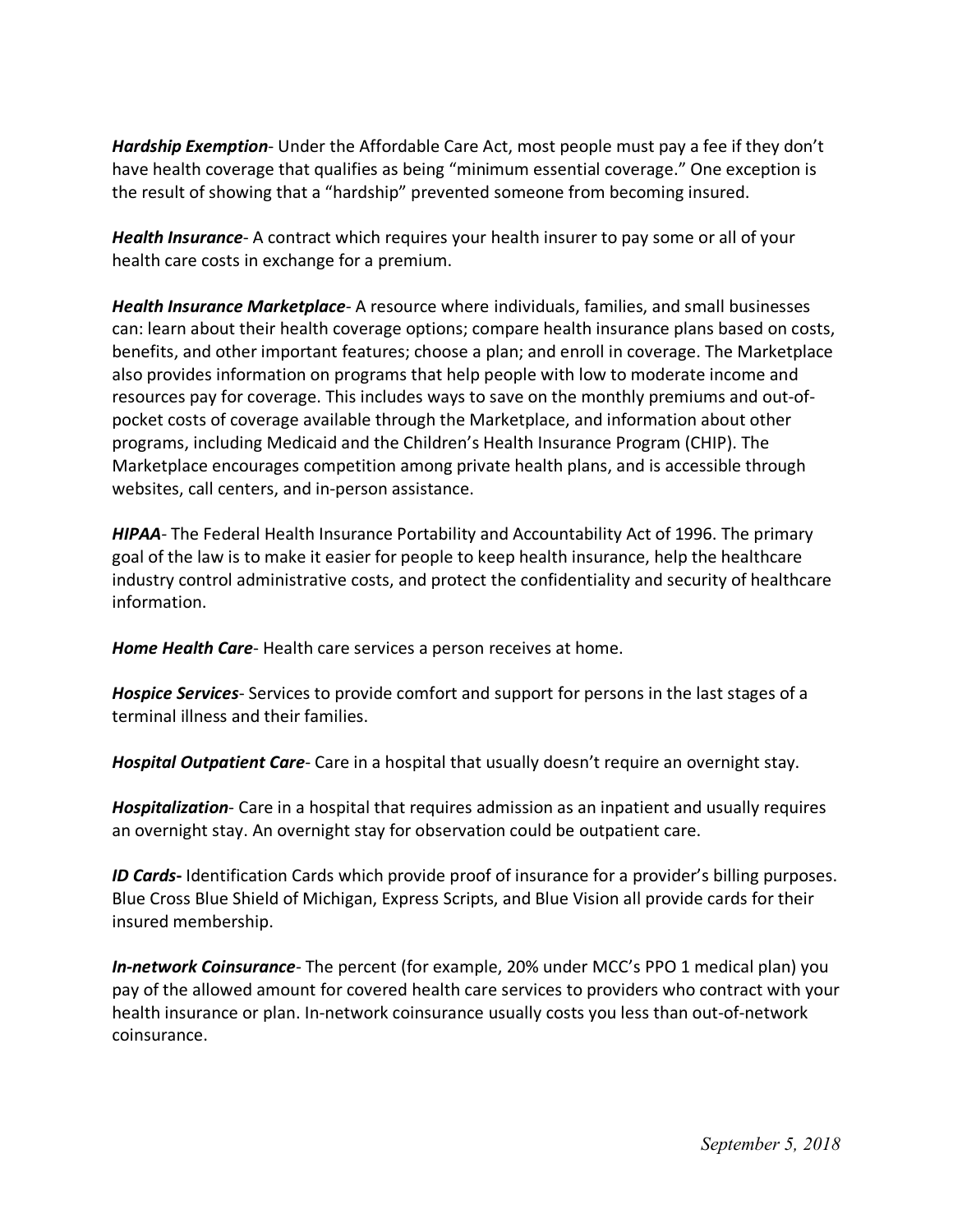*Hardship Exemption*- Under the Affordable Care Act, most people must pay a fee if they don't have health coverage that qualifies as being "minimum essential coverage." One exception is the result of showing that a "hardship" prevented someone from becoming insured.

*Health Insurance*- A contract which requires your health insurer to pay some or all of your health care costs in exchange for a premium.

*Health Insurance Marketplace*- A resource where individuals, families, and small businesses can: learn about their health coverage options; compare health insurance plans based on costs, benefits, and other important features; choose a plan; and enroll in coverage. The Marketplace also provides information on programs that help people with low to moderate income and resources pay for coverage. This includes ways to save on the monthly premiums and out-ofpocket costs of coverage available through the Marketplace, and information about other programs, including Medicaid and the Children's Health Insurance Program (CHIP). The Marketplace encourages competition among private health plans, and is accessible through websites, call centers, and in-person assistance.

*HIPAA-* The Federal Health Insurance Portability and Accountability Act of 1996. The primary goal of the law is to make it easier for people to keep health insurance, help the healthcare industry control administrative costs, and protect the confidentiality and security of healthcare information.

*Home Health Care*- Health care services a person receives at home.

*Hospice Services*- Services to provide comfort and support for persons in the last stages of a terminal illness and their families.

*Hospital Outpatient Care*- Care in a hospital that usually doesn't require an overnight stay.

*Hospitalization*- Care in a hospital that requires admission as an inpatient and usually requires an overnight stay. An overnight stay for observation could be outpatient care.

*ID Cards***-** Identification Cards which provide proof of insurance for a provider's billing purposes. Blue Cross Blue Shield of Michigan, Express Scripts, and Blue Vision all provide cards for their insured membership.

*In-network Coinsurance*- The percent (for example, 20% under MCC's PPO 1 medical plan) you pay of the allowed amount for covered health care services to providers who contract with your health insurance or plan. In-network coinsurance usually costs you less than out-of-network coinsurance.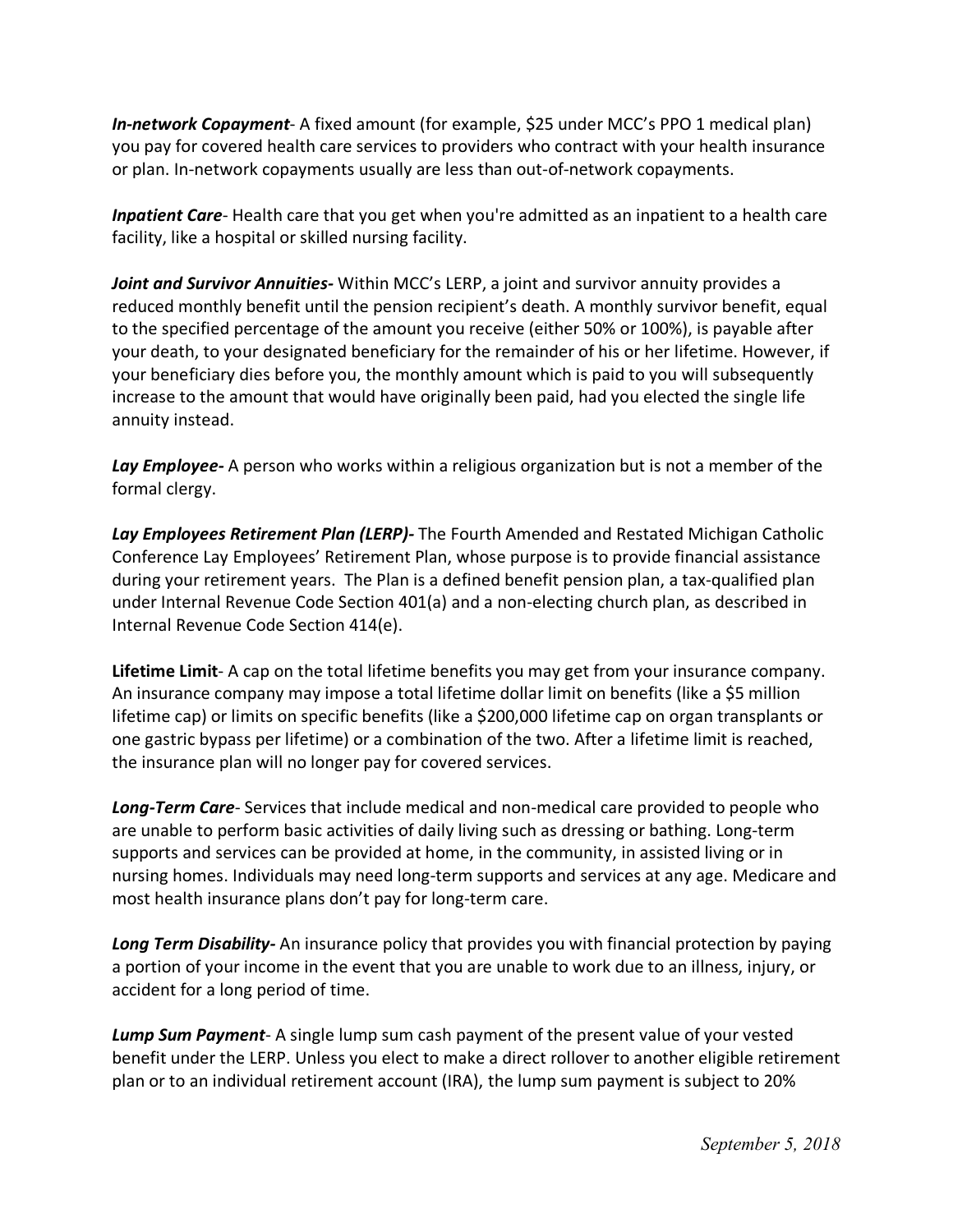*In-network Copayment*- A fixed amount (for example, \$25 under MCC's PPO 1 medical plan) you pay for covered health care services to providers who contract with your health insurance or plan. In-network copayments usually are less than out-of-network copayments.

*Inpatient Care*- Health care that you get when you're admitted as an inpatient to a health care facility, like a hospital or skilled nursing facility.

*Joint and Survivor Annuities-* Within MCC's LERP, a joint and survivor annuity provides a reduced monthly benefit until the pension recipient's death. A monthly survivor benefit, equal to the specified percentage of the amount you receive (either 50% or 100%), is payable after your death, to your designated beneficiary for the remainder of his or her lifetime. However, if your beneficiary dies before you, the monthly amount which is paid to you will subsequently increase to the amount that would have originally been paid, had you elected the single life annuity instead.

*Lay Employee-* A person who works within a religious organization but is not a member of the formal clergy.

*Lay Employees Retirement Plan (LERP)-* The Fourth Amended and Restated Michigan Catholic Conference Lay Employees' Retirement Plan, whose purpose is to provide financial assistance during your retirement years. The Plan is a defined benefit pension plan, a tax-qualified plan under Internal Revenue Code Section 401(a) and a non-electing church plan, as described in Internal Revenue Code Section 414(e).

**Lifetime Limit**- A cap on the total lifetime benefits you may get from your insurance company. An insurance company may impose a total lifetime dollar limit on benefits (like a \$5 million lifetime cap) or limits on specific benefits (like a \$200,000 lifetime cap on organ transplants or one gastric bypass per lifetime) or a combination of the two. After a lifetime limit is reached, the insurance plan will no longer pay for covered services.

*Long-Term Care*- Services that include medical and non-medical care provided to people who are unable to perform basic activities of daily living such as dressing or bathing. Long-term supports and services can be provided at home, in the community, in assisted living or in nursing homes. Individuals may need long-term supports and services at any age. Medicare and most health insurance plans don't pay for long-term care.

*Long Term Disability-* An insurance policy that provides you with financial protection by paying a portion of your income in the event that you are unable to work due to an illness, injury, or accident for a long period of time.

*Lump Sum Payment*- A single lump sum cash payment of the present value of your vested benefit under the LERP. Unless you elect to make a direct rollover to another eligible retirement plan or to an individual retirement account (IRA), the lump sum payment is subject to 20%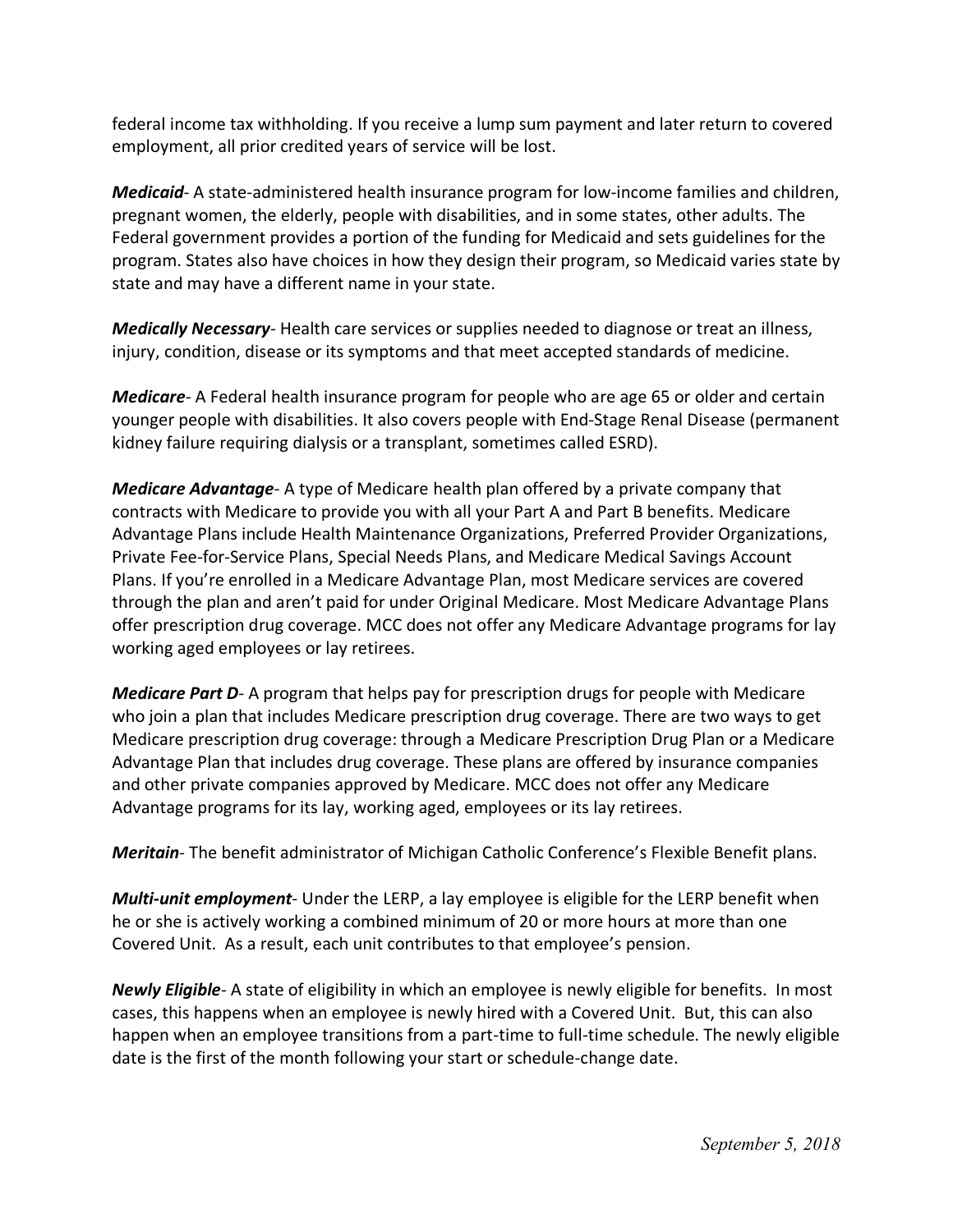federal income tax withholding. If you receive a lump sum payment and later return to covered employment, all prior credited years of service will be lost.

*Medicaid*- A state-administered health insurance program for low-income families and children, pregnant women, the elderly, people with disabilities, and in some states, other adults. The Federal government provides a portion of the funding for Medicaid and sets guidelines for the program. States also have choices in how they design their program, so Medicaid varies state by state and may have a different name in your state.

*Medically Necessary*- Health care services or supplies needed to diagnose or treat an illness, injury, condition, disease or its symptoms and that meet accepted standards of medicine.

*Medicare*- A Federal health insurance program for people who are age 65 or older and certain younger people with disabilities. It also covers people with End-Stage Renal Disease (permanent kidney failure requiring dialysis or a transplant, sometimes called ESRD).

*Medicare Advantage*- A type of Medicare health plan offered by a private company that contracts with Medicare to provide you with all your Part A and Part B benefits. Medicare Advantage Plans include Health Maintenance Organizations, Preferred Provider Organizations, Private Fee-for-Service Plans, Special Needs Plans, and Medicare Medical Savings Account Plans. If you're enrolled in a Medicare Advantage Plan, most Medicare services are covered through the plan and aren't paid for under Original Medicare. Most Medicare Advantage Plans offer prescription drug coverage. MCC does not offer any Medicare Advantage programs for lay working aged employees or lay retirees.

*Medicare Part D*- A program that helps pay for prescription drugs for people with Medicare who join a plan that includes Medicare prescription drug coverage. There are two ways to get Medicare prescription drug coverage: through a Medicare Prescription Drug Plan or a Medicare Advantage Plan that includes drug coverage. These plans are offered by insurance companies and other private companies approved by Medicare. MCC does not offer any Medicare Advantage programs for its lay, working aged, employees or its lay retirees.

*Meritain*- The benefit administrator of Michigan Catholic Conference's Flexible Benefit plans.

*Multi-unit employment*- Under the LERP, a lay employee is eligible for the LERP benefit when he or she is actively working a combined minimum of 20 or more hours at more than one Covered Unit. As a result, each unit contributes to that employee's pension.

*Newly Eligible*- A state of eligibility in which an employee is newly eligible for benefits. In most cases, this happens when an employee is newly hired with a Covered Unit. But, this can also happen when an employee transitions from a part-time to full-time schedule. The newly eligible date is the first of the month following your start or schedule-change date.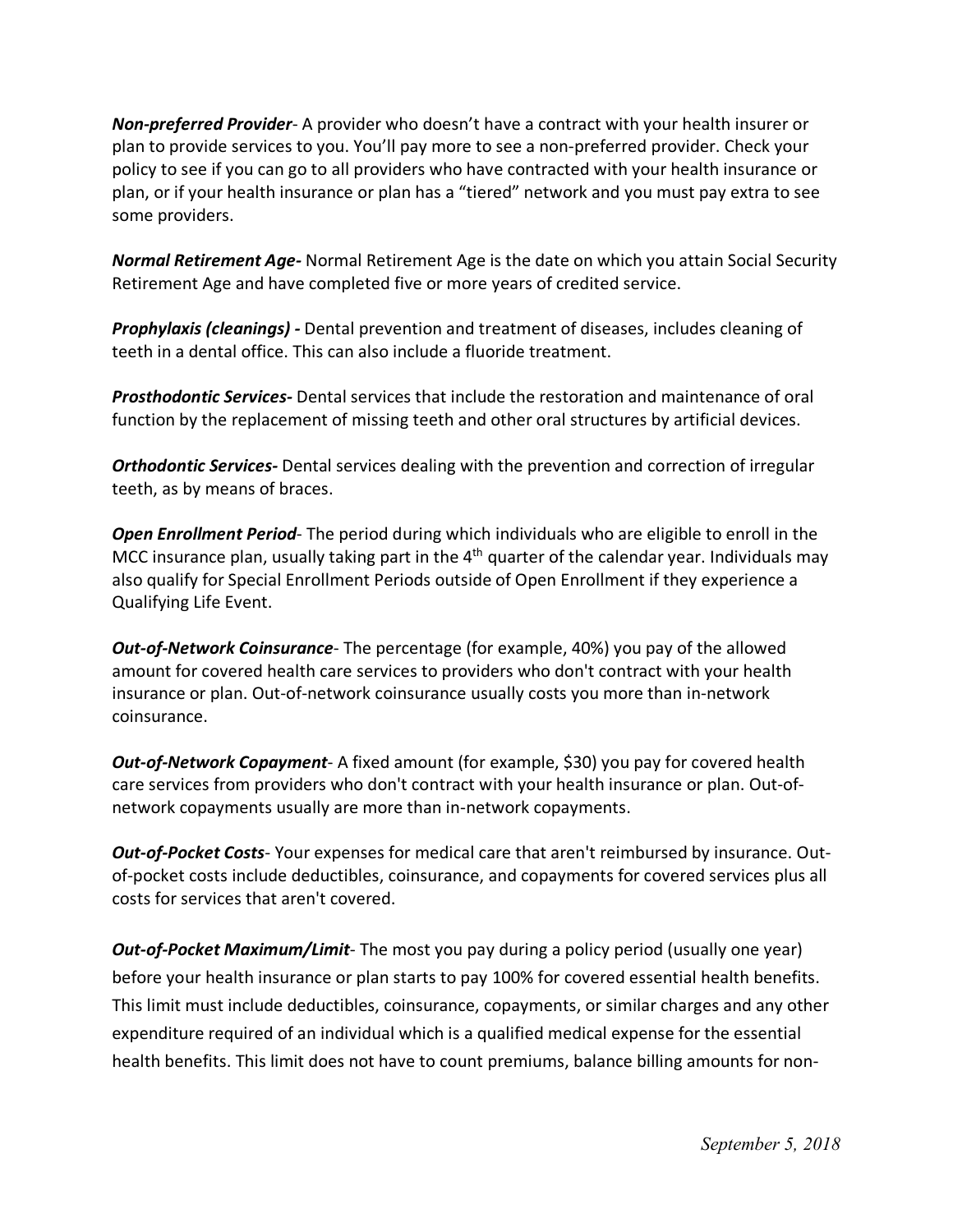*Non-preferred Provider*- A provider who doesn't have a contract with your health insurer or plan to provide services to you. You'll pay more to see a non-preferred provider. Check your policy to see if you can go to all providers who have contracted with your health insurance or plan, or if your health insurance or plan has a "tiered" network and you must pay extra to see some providers.

*Normal Retirement Age-* Normal Retirement Age is the date on which you attain Social Security Retirement Age and have completed five or more years of credited service.

*Prophylaxis (cleanings) -* Dental prevention and treatment of diseases, includes cleaning of teeth in a dental office. This can also include a fluoride treatment.

*Prosthodontic Services-* Dental services that include the restoration and maintenance of oral function by the replacement of missing teeth and other oral structures by artificial devices.

*Orthodontic Services-* Dental services dealing with the prevention and correction of irregular teeth, as by means of braces.

*Open Enrollment Period*- The period during which individuals who are eligible to enroll in the MCC insurance plan, usually taking part in the  $4<sup>th</sup>$  quarter of the calendar year. Individuals may also qualify for Special Enrollment Periods outside of Open Enrollment if they experience a Qualifying Life Event.

*Out-of-Network Coinsurance*- The percentage (for example, 40%) you pay of the allowed amount for covered health care services to providers who don't contract with your health insurance or plan. Out-of-network coinsurance usually costs you more than in-network coinsurance.

*Out-of-Network Copayment*- A fixed amount (for example, \$30) you pay for covered health care services from providers who don't contract with your health insurance or plan. Out-ofnetwork copayments usually are more than in-network copayments.

*Out-of-Pocket Costs*- Your expenses for medical care that aren't reimbursed by insurance. Outof-pocket costs include deductibles, coinsurance, and copayments for covered services plus all costs for services that aren't covered.

*Out-of-Pocket Maximum/Limit*- The most you pay during a policy period (usually one year) before your health insurance or plan starts to pay 100% for covered essential health benefits. This limit must include deductibles, coinsurance, copayments, or similar charges and any other expenditure required of an individual which is a qualified medical expense for the essential health benefits. This limit does not have to count premiums, balance billing amounts for non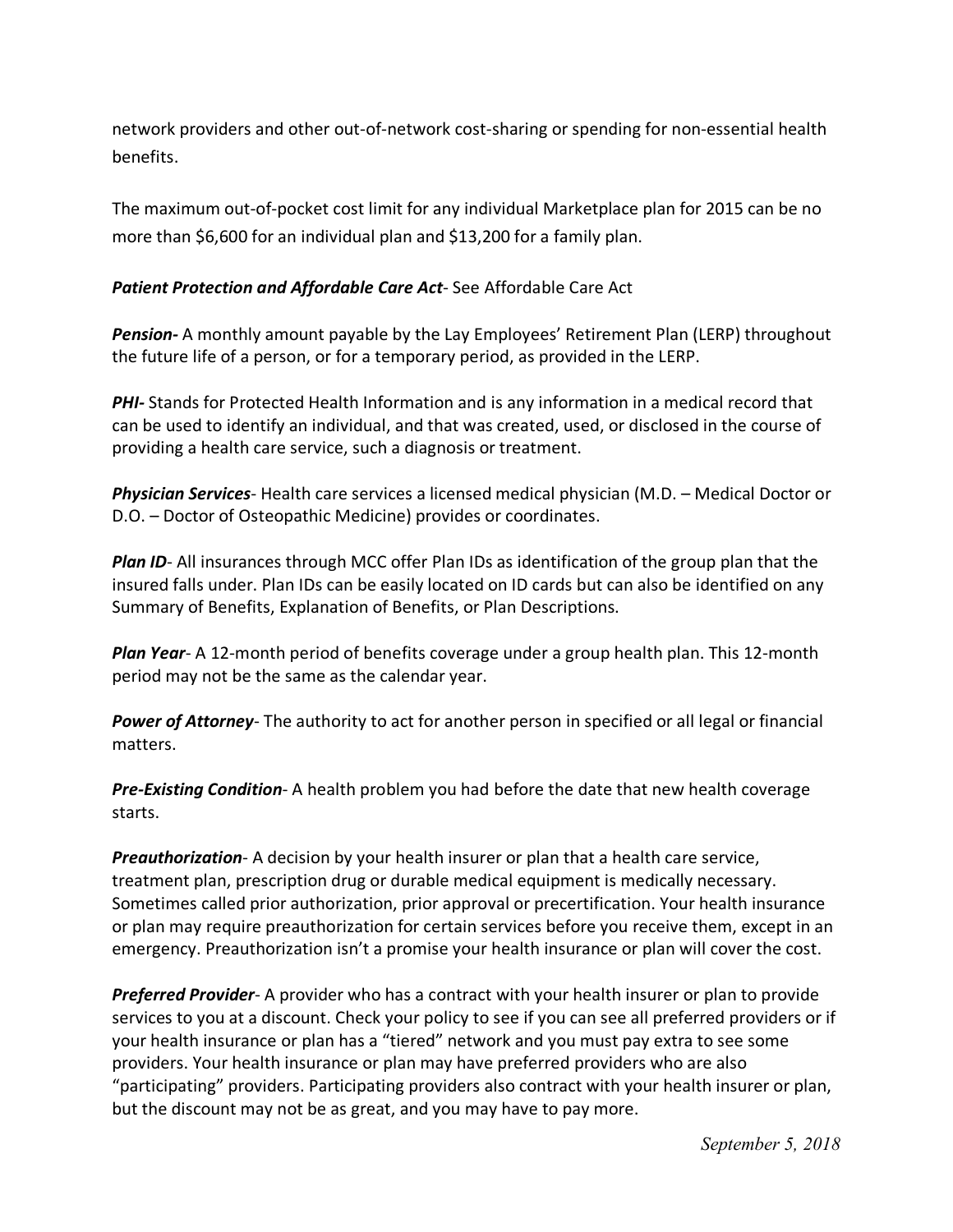network providers and other out-of-network cost-sharing or spending for non-essential health benefits.

The maximum out-of-pocket cost limit for any individual Marketplace plan for 2015 can be no more than \$6,600 for an individual plan and \$13,200 for a family plan.

## *Patient Protection and Affordable Care Act*- See Affordable Care Act

*Pension-* A monthly amount payable by the Lay Employees' Retirement Plan (LERP) throughout the future life of a person, or for a temporary period, as provided in the LERP.

*PHI-* Stands for Protected Health Information and is any information in a medical record that can be used to identify an individual, and that was created, used, or disclosed in the course of providing a health care service, such a diagnosis or treatment.

*Physician Services*- Health care services a licensed medical physician (M.D. – Medical Doctor or D.O. – Doctor of Osteopathic Medicine) provides or coordinates.

*Plan ID*- All insurances through MCC offer Plan IDs as identification of the group plan that the insured falls under. Plan IDs can be easily located on ID cards but can also be identified on any Summary of Benefits, Explanation of Benefits, or Plan Descriptions.

*Plan Year*- A 12-month period of benefits coverage under a group health plan. This 12-month period may not be the same as the calendar year.

*Power of Attorney*- The authority to act for another person in specified or all legal or financial matters.

*Pre-Existing Condition*- A health problem you had before the date that new health coverage starts.

*Preauthorization*- A decision by your health insurer or plan that a health care service, treatment plan, prescription drug or durable medical equipment is medically necessary. Sometimes called prior authorization, prior approval or precertification. Your health insurance or plan may require preauthorization for certain services before you receive them, except in an emergency. Preauthorization isn't a promise your health insurance or plan will cover the cost.

*Preferred Provider*- A provider who has a contract with your health insurer or plan to provide services to you at a discount. Check your policy to see if you can see all preferred providers or if your health insurance or plan has a "tiered" network and you must pay extra to see some providers. Your health insurance or plan may have preferred providers who are also "participating" providers. Participating providers also contract with your health insurer or plan, but the discount may not be as great, and you may have to pay more.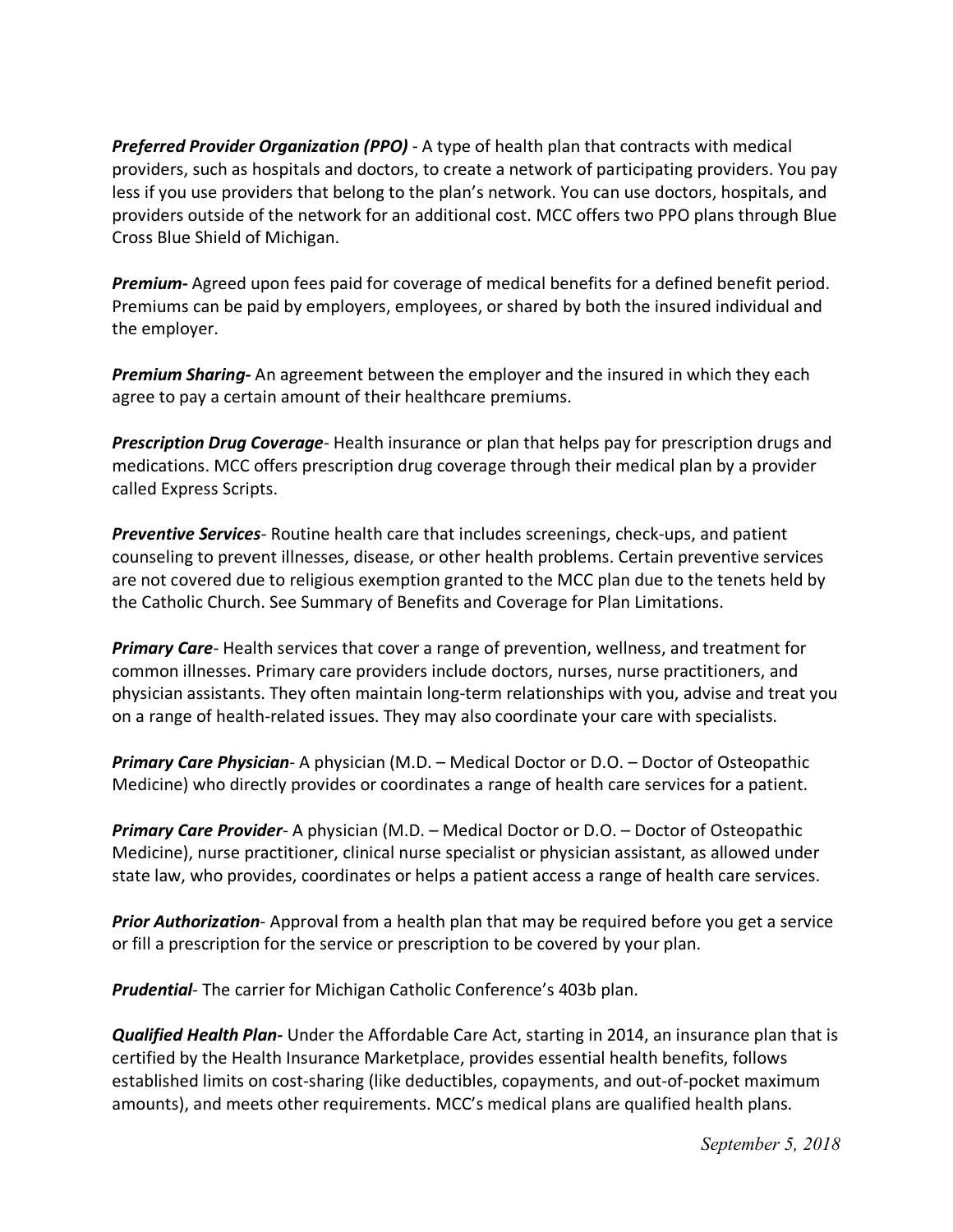*Preferred Provider Organization (PPO)* - A type of health plan that contracts with medical providers, such as hospitals and doctors, to create a network of participating providers. You pay less if you use providers that belong to the plan's network. You can use doctors, hospitals, and providers outside of the network for an additional cost. MCC offers two PPO plans through Blue Cross Blue Shield of Michigan.

*Premium-* Agreed upon fees paid for coverage of medical benefits for a defined benefit period. Premiums can be paid by employers, employees, or shared by both the insured individual and the employer.

*Premium Sharing-* An agreement between the employer and the insured in which they each agree to pay a certain amount of their healthcare premiums.

*Prescription Drug Coverage*- Health insurance or plan that helps pay for prescription drugs and medications. MCC offers prescription drug coverage through their medical plan by a provider called Express Scripts.

*Preventive Services-* Routine health care that includes screenings, check-ups, and patient counseling to prevent illnesses, disease, or other health problems. Certain preventive services are not covered due to religious exemption granted to the MCC plan due to the tenets held by the Catholic Church. See Summary of Benefits and Coverage for Plan Limitations.

*Primary Care*- Health services that cover a range of prevention, wellness, and treatment for common illnesses. Primary care providers include doctors, nurses, nurse practitioners, and physician assistants. They often maintain long-term relationships with you, advise and treat you on a range of health-related issues. They may also coordinate your care with specialists.

*Primary Care Physician*- A physician (M.D. – Medical Doctor or D.O. – Doctor of Osteopathic Medicine) who directly provides or coordinates a range of health care services for a patient.

*Primary Care Provider*- A physician (M.D. – Medical Doctor or D.O. – Doctor of Osteopathic Medicine), nurse practitioner, clinical nurse specialist or physician assistant, as allowed under state law, who provides, coordinates or helps a patient access a range of health care services.

*Prior Authorization*- Approval from a health plan that may be required before you get a service or fill a prescription for the service or prescription to be covered by your plan.

*Prudential*- The carrier for Michigan Catholic Conference's 403b plan.

*Qualified Health Plan-* Under the Affordable Care Act, starting in 2014, an insurance plan that is certified by the Health Insurance Marketplace, provides essential health benefits, follows established limits on cost-sharing (like deductibles, copayments, and out-of-pocket maximum amounts), and meets other requirements. MCC's medical plans are qualified health plans.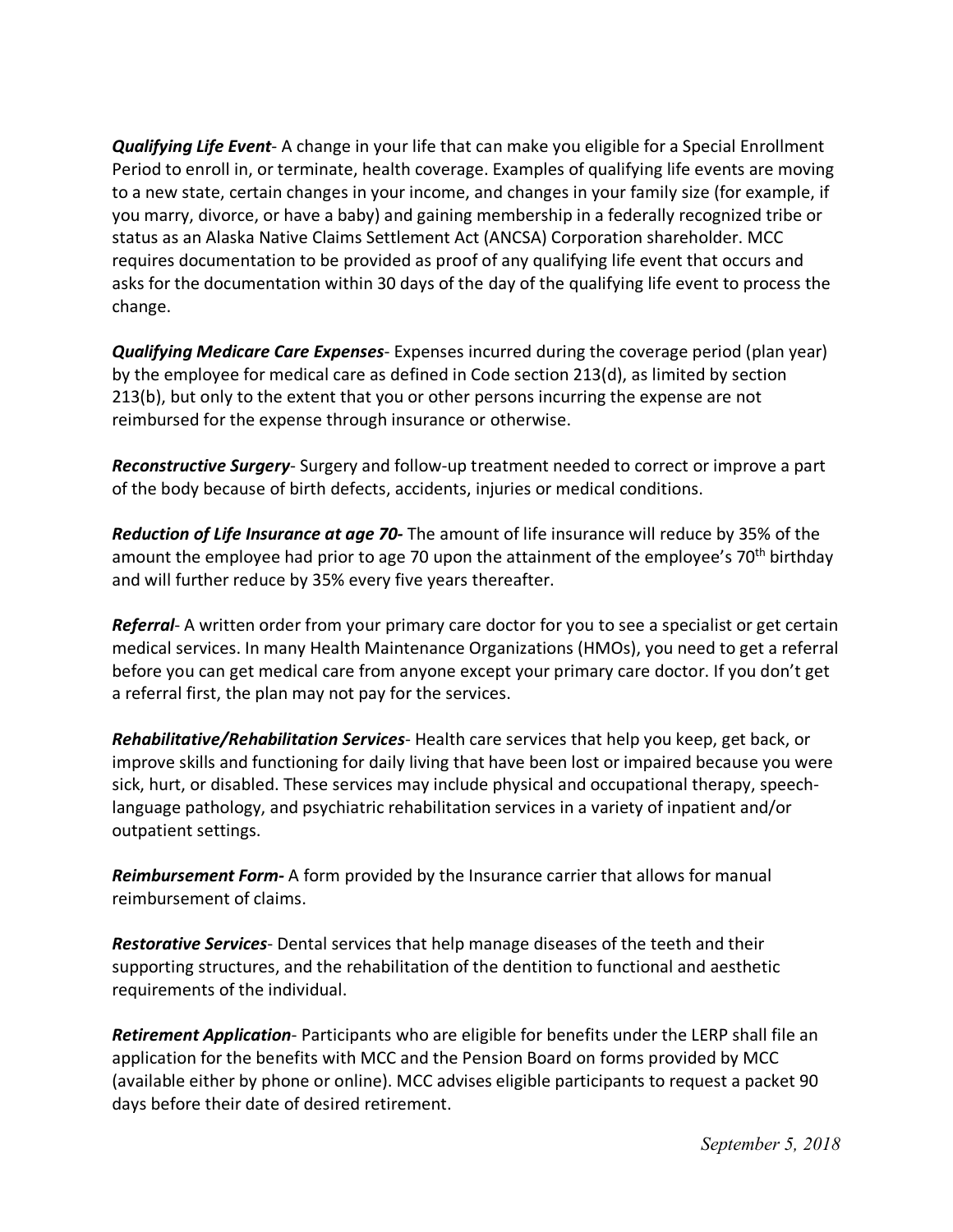*Qualifying Life Event*- A change in your life that can make you eligible for a Special Enrollment Period to enroll in, or terminate, health coverage. Examples of qualifying life events are moving to a new state, certain changes in your income, and changes in your family size (for example, if you marry, divorce, or have a baby) and gaining membership in a federally recognized tribe or status as an Alaska Native Claims Settlement Act (ANCSA) Corporation shareholder. MCC requires documentation to be provided as proof of any qualifying life event that occurs and asks for the documentation within 30 days of the day of the qualifying life event to process the change.

*Qualifying Medicare Care Expenses*- Expenses incurred during the coverage period (plan year) by the employee for medical care as defined in Code section 213(d), as limited by section 213(b), but only to the extent that you or other persons incurring the expense are not reimbursed for the expense through insurance or otherwise.

*Reconstructive Surgery*- Surgery and follow-up treatment needed to correct or improve a part of the body because of birth defects, accidents, injuries or medical conditions.

*Reduction of Life Insurance at age 70-* The amount of life insurance will reduce by 35% of the amount the employee had prior to age 70 upon the attainment of the employee's 70<sup>th</sup> birthday and will further reduce by 35% every five years thereafter.

*Referral*- A written order from your primary care doctor for you to see a specialist or get certain medical services. In many Health Maintenance Organizations (HMOs), you need to get a referral before you can get medical care from anyone except your primary care doctor. If you don't get a referral first, the plan may not pay for the services.

*Rehabilitative/Rehabilitation Services*- Health care services that help you keep, get back, or improve skills and functioning for daily living that have been lost or impaired because you were sick, hurt, or disabled. These services may include physical and occupational therapy, speechlanguage pathology, and psychiatric rehabilitation services in a variety of inpatient and/or outpatient settings.

*Reimbursement Form-* A form provided by the Insurance carrier that allows for manual reimbursement of claims.

*Restorative Services*- Dental services that help manage diseases of the teeth and their supporting structures, and the rehabilitation of the dentition to functional and aesthetic requirements of the individual.

*Retirement Application*- Participants who are eligible for benefits under the LERP shall file an application for the benefits with MCC and the Pension Board on forms provided by MCC (available either by phone or online). MCC advises eligible participants to request a packet 90 days before their date of desired retirement.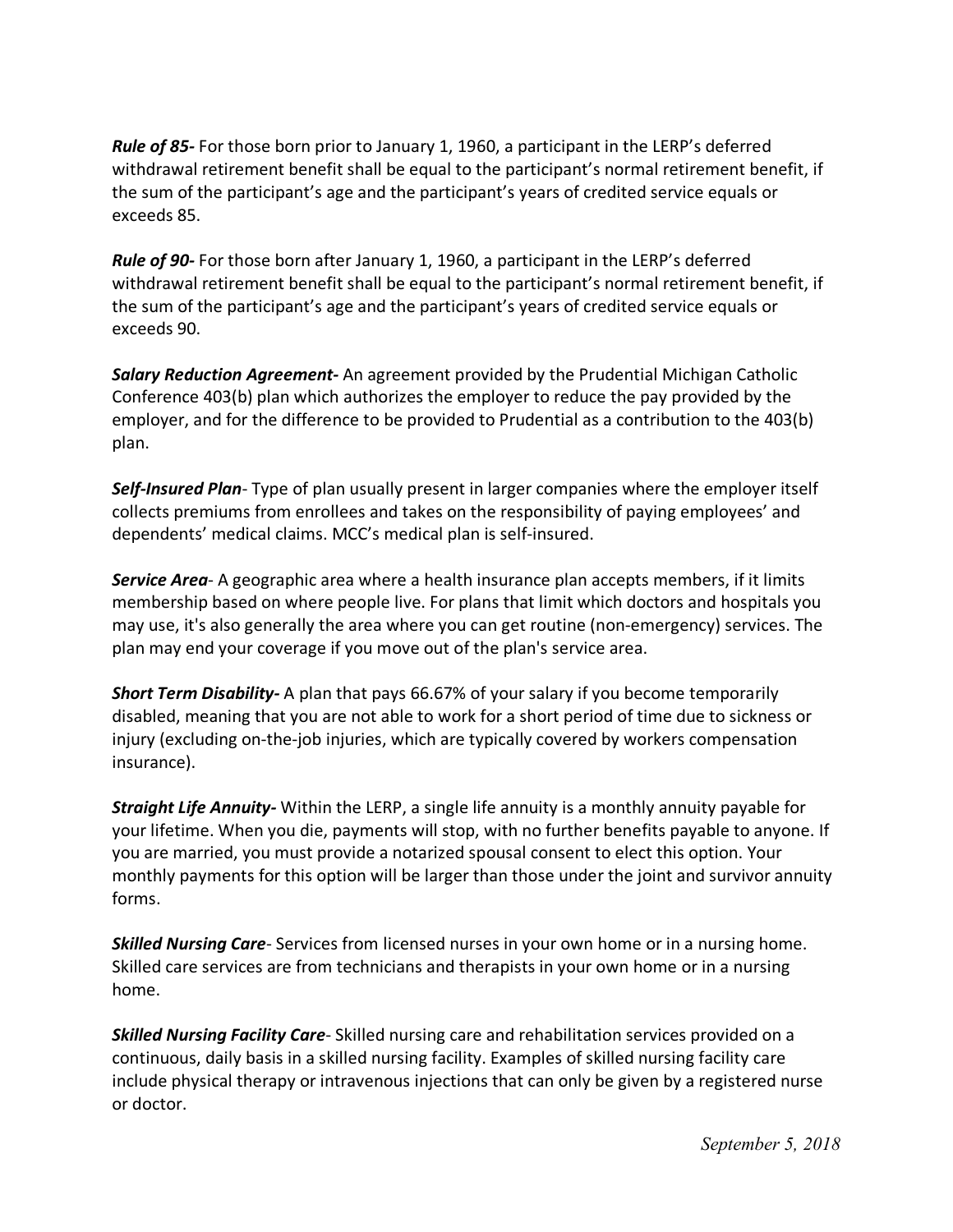*Rule of 85-* For those born prior to January 1, 1960, a participant in the LERP's deferred withdrawal retirement benefit shall be equal to the participant's normal retirement benefit, if the sum of the participant's age and the participant's years of credited service equals or exceeds 85.

*Rule of 90-* For those born after January 1, 1960, a participant in the LERP's deferred withdrawal retirement benefit shall be equal to the participant's normal retirement benefit, if the sum of the participant's age and the participant's years of credited service equals or exceeds 90.

*Salary Reduction Agreement-* An agreement provided by the Prudential Michigan Catholic Conference 403(b) plan which authorizes the employer to reduce the pay provided by the employer, and for the difference to be provided to Prudential as a contribution to the 403(b) plan.

*Self-Insured Plan*- Type of plan usually present in larger companies where the employer itself collects premiums from enrollees and takes on the responsibility of paying employees' and dependents' medical claims. MCC's medical plan is self-insured.

*Service Area*- A geographic area where a health insurance plan accepts members, if it limits membership based on where people live. For plans that limit which doctors and hospitals you may use, it's also generally the area where you can get routine (non-emergency) services. The plan may end your coverage if you move out of the plan's service area.

*Short Term Disability-* A plan that pays 66.67% of your salary if you become temporarily disabled, meaning that you are not able to work for a short period of time due to sickness or injury (excluding on-the-job injuries, which are typically covered by workers compensation insurance).

*Straight Life Annuity-* Within the LERP, a single life annuity is a monthly annuity payable for your lifetime. When you die, payments will stop, with no further benefits payable to anyone. If you are married, you must provide a notarized spousal consent to elect this option. Your monthly payments for this option will be larger than those under the joint and survivor annuity forms.

*Skilled Nursing Care*- Services from licensed nurses in your own home or in a nursing home. Skilled care services are from technicians and therapists in your own home or in a nursing home.

*Skilled Nursing Facility Care*- Skilled nursing care and rehabilitation services provided on a continuous, daily basis in a skilled nursing facility. Examples of skilled nursing facility care include physical therapy or intravenous injections that can only be given by a registered nurse or doctor.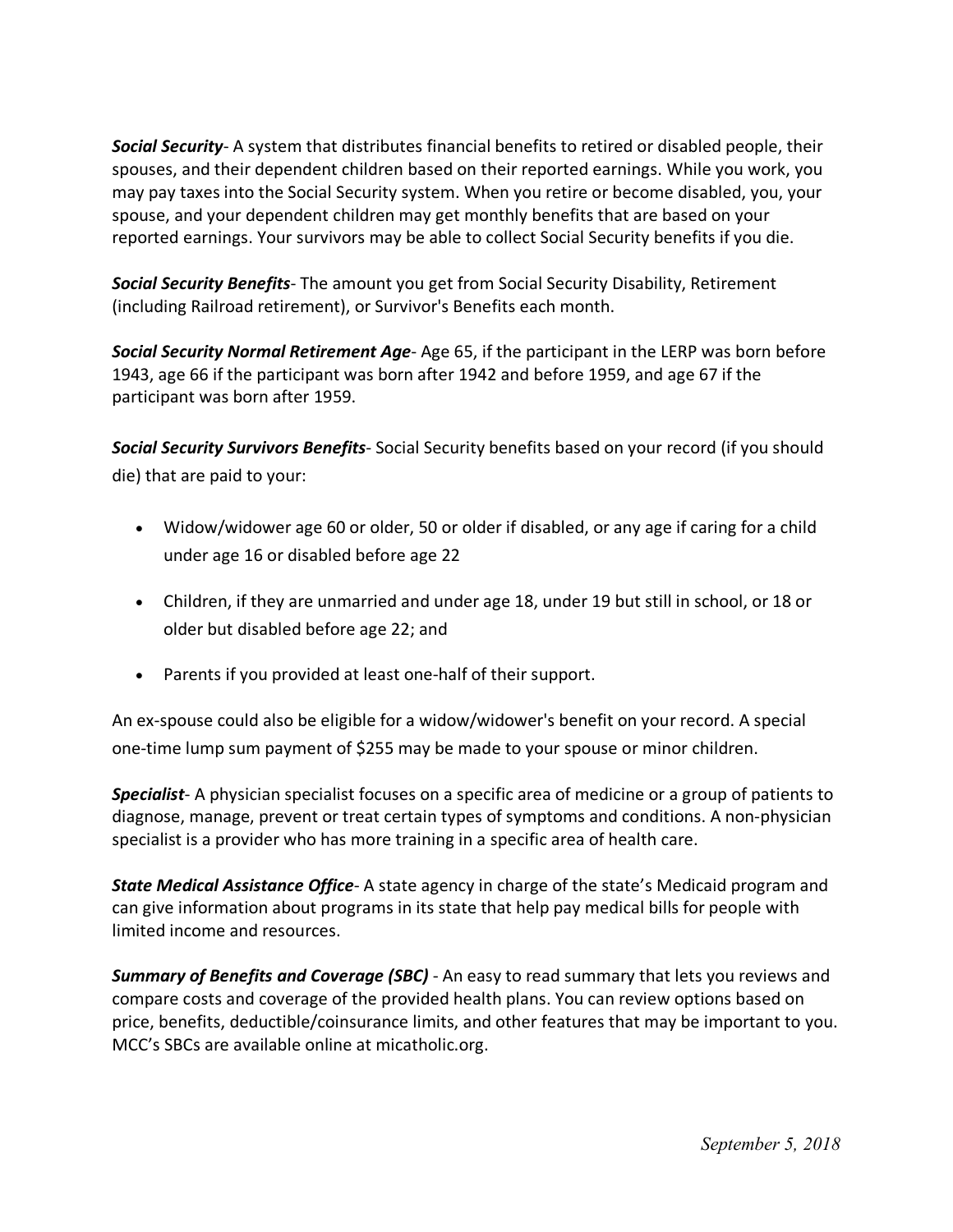*Social Security*- A system that distributes financial benefits to retired or disabled people, their spouses, and their dependent children based on their reported earnings. While you work, you may pay taxes into the Social Security system. When you retire or become disabled, you, your spouse, and your dependent children may get monthly benefits that are based on your reported earnings. Your survivors may be able to collect Social Security benefits if you die.

*Social Security Benefits*- The amount you get from Social Security Disability, Retirement (including Railroad retirement), or Survivor's Benefits each month.

*Social Security Normal Retirement Age*- Age 65, if the participant in the LERP was born before 1943, age 66 if the participant was born after 1942 and before 1959, and age 67 if the participant was born after 1959.

*Social Security Survivors Benefits*- Social Security benefits based on your record (if you should die) that are paid to your:

- Widow/widower age 60 or older, 50 or older if disabled, or any age if caring for a child under age 16 or disabled before age 22
- Children, if they are unmarried and under age 18, under 19 but still in school, or 18 or older but disabled before age 22; and
- Parents if you provided at least one-half of their support.

An ex-spouse could also be eligible for a widow/widower's benefit on your record. A special one-time lump sum payment of \$255 may be made to your spouse or minor children.

*Specialist*- A physician specialist focuses on a specific area of medicine or a group of patients to diagnose, manage, prevent or treat certain types of symptoms and conditions. A non-physician specialist is a provider who has more training in a specific area of health care.

*State Medical Assistance Office*- A state agency in charge of the state's Medicaid program and can give information about programs in its state that help pay medical bills for people with limited income and resources.

*Summary of Benefits and Coverage (SBC)* - An easy to read summary that lets you reviews and compare costs and coverage of the provided health plans. You can review options based on price, benefits, deductible/coinsurance limits, and other features that may be important to you. MCC's SBCs are available online at micatholic.org.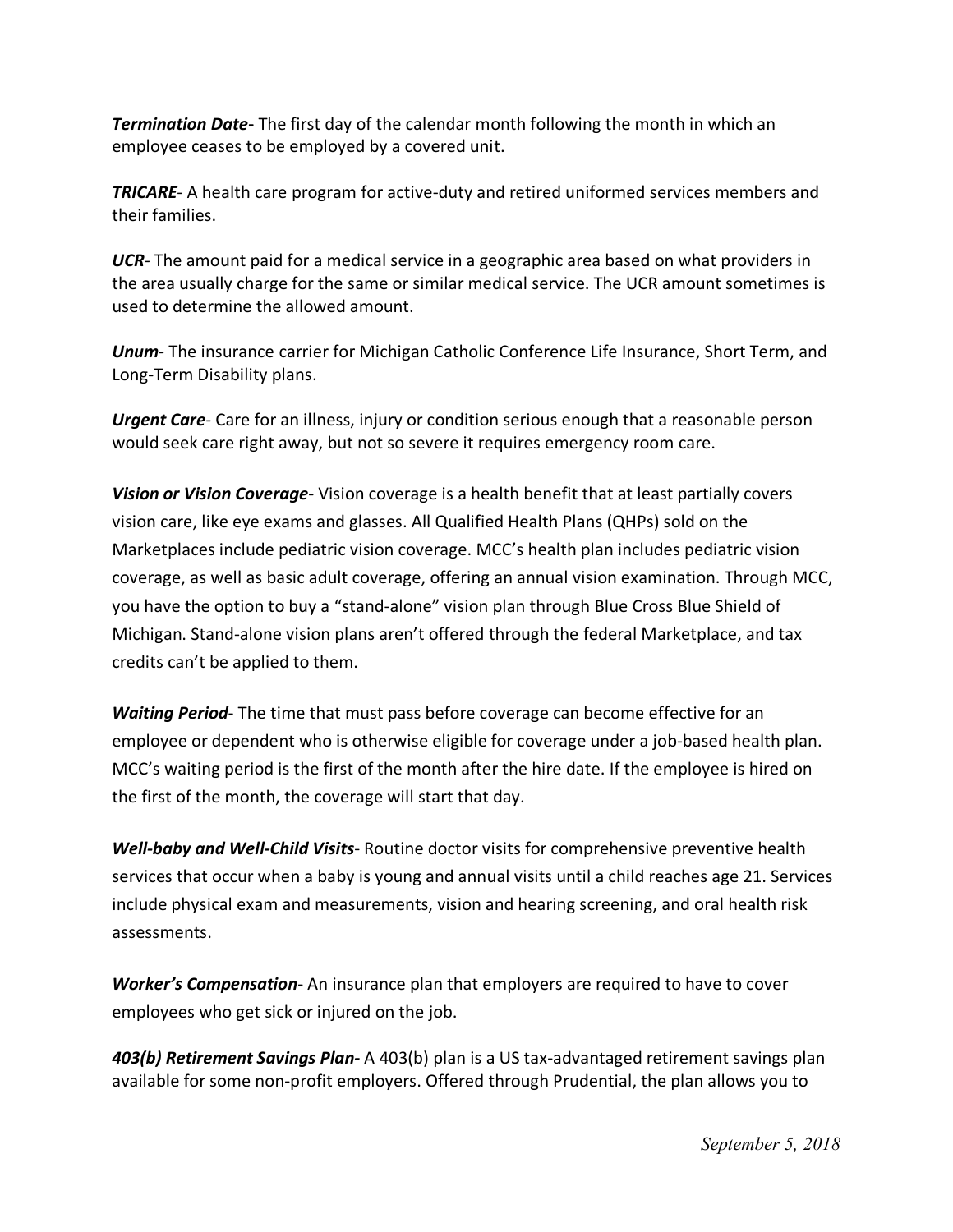*Termination Date***-** The first day of the calendar month following the month in which an employee ceases to be employed by a covered unit.

*TRICARE*- A health care program for active-duty and retired uniformed services members and their families.

*UCR-* The amount paid for a medical service in a geographic area based on what providers in the area usually charge for the same or similar medical service. The UCR amount sometimes is used to determine the allowed amount.

*Unum*- The insurance carrier for Michigan Catholic Conference Life Insurance, Short Term, and Long-Term Disability plans.

*Urgent Care*- Care for an illness, injury or condition serious enough that a reasonable person would seek care right away, but not so severe it requires emergency room care.

*Vision or Vision Coverage*- Vision coverage is a health benefit that at least partially covers vision care, like eye exams and glasses. All Qualified Health Plans (QHPs) sold on the Marketplaces include pediatric vision coverage. MCC's health plan includes pediatric vision coverage, as well as basic adult coverage, offering an annual vision examination. Through MCC, you have the option to buy a "stand-alone" vision plan through Blue Cross Blue Shield of Michigan. Stand-alone vision plans aren't offered through the federal Marketplace, and tax credits can't be applied to them.

*Waiting Period*- The time that must pass before coverage can become effective for an employee or dependent who is otherwise eligible for coverage under a job-based health plan. MCC's waiting period is the first of the month after the hire date. If the employee is hired on the first of the month, the coverage will start that day.

*Well-baby and Well-Child Visits*- Routine doctor visits for comprehensive preventive health services that occur when a baby is young and annual visits until a child reaches age 21. Services include physical exam and measurements, vision and hearing screening, and oral health risk assessments.

*Worker's Compensation*- An insurance plan that employers are required to have to cover employees who get sick or injured on the job.

*403(b) Retirement Savings Plan-* A 403(b) plan is a US tax-advantaged retirement savings plan available for some non-profit employers. Offered through Prudential, the plan allows you to